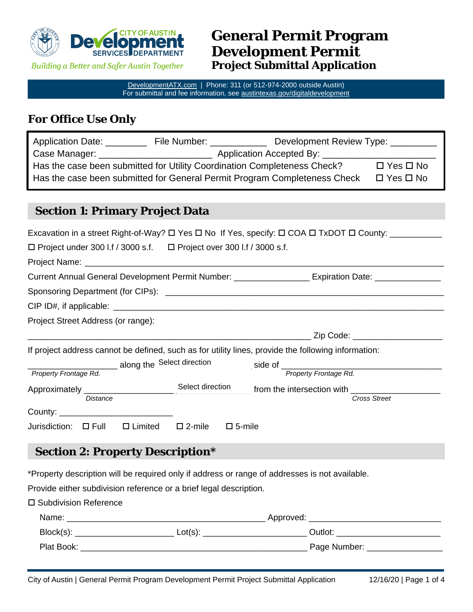

**Building a Better and Safer Austin Together** 

# **General Permit Program Development Permit Project Submittal Application**

[DevelopmentATX.com](http://developmentatx.com/) | Phone: 311 (or 512-974-2000 outside Austin) For submittal and fee information, see [austintexas.gov/digitaldevelopment](http://austintexas.gov/digitaldevelopment)

### **For Office Use Only**

| Application Date:                                                                                 | File Number:                                                                                                          | Development Review Type: |  |
|---------------------------------------------------------------------------------------------------|-----------------------------------------------------------------------------------------------------------------------|--------------------------|--|
| Case Manager: _                                                                                   | <u> 1980 - Jan Samuel Barbara, primeira establecidade en la primeira establecidade en la primeira establecidade e</u> | Application Accepted By: |  |
| Has the case been submitted for Utility Coordination Completeness Check?<br>$\Box$ Yes $\Box$ No  |                                                                                                                       |                          |  |
| Has the case been submitted for General Permit Program Completeness Check<br>$\Box$ Yes $\Box$ No |                                                                                                                       |                          |  |
|                                                                                                   |                                                                                                                       |                          |  |

## **Section 1: Primary Project Data**

|                                                                                                     |                  | Excavation in a street Right-of-Way? □ Yes □ No If Yes, specify: □ COA □ TxDOT □ County: __________            |
|-----------------------------------------------------------------------------------------------------|------------------|----------------------------------------------------------------------------------------------------------------|
| $\Box$ Project under 300 l.f / 3000 s.f. $\Box$ Project over 300 l.f / 3000 s.f.                    |                  |                                                                                                                |
|                                                                                                     |                  |                                                                                                                |
|                                                                                                     |                  | Current Annual General Development Permit Number: ____________________ Expiration Date: _________________      |
|                                                                                                     |                  |                                                                                                                |
|                                                                                                     |                  |                                                                                                                |
| Project Street Address (or range):                                                                  |                  |                                                                                                                |
|                                                                                                     |                  |                                                                                                                |
| If project address cannot be defined, such as for utility lines, provide the following information: |                  |                                                                                                                |
| along the Select direction                                                                          |                  |                                                                                                                |
| Property Frontage Rd.                                                                               |                  | Property Frontage Rd.                                                                                          |
|                                                                                                     |                  |                                                                                                                |
| <b>Distance</b>                                                                                     |                  | <b>Cross Street</b>                                                                                            |
|                                                                                                     |                  |                                                                                                                |
| Jurisdiction: $\Box$ Full $\Box$ Limited $\Box$ 2-mile                                              | $\square$ 5-mile |                                                                                                                |
| <b>Section 2: Property Description*</b>                                                             |                  |                                                                                                                |
| *Property description will be required only if address or range of addresses is not available.      |                  |                                                                                                                |
| Provide either subdivision reference or a brief legal description.                                  |                  |                                                                                                                |
| □ Subdivision Reference                                                                             |                  |                                                                                                                |
|                                                                                                     |                  |                                                                                                                |
|                                                                                                     |                  | Block(s): ______________________________Lot(s): ________________________________Outlot: ______________________ |
|                                                                                                     |                  |                                                                                                                |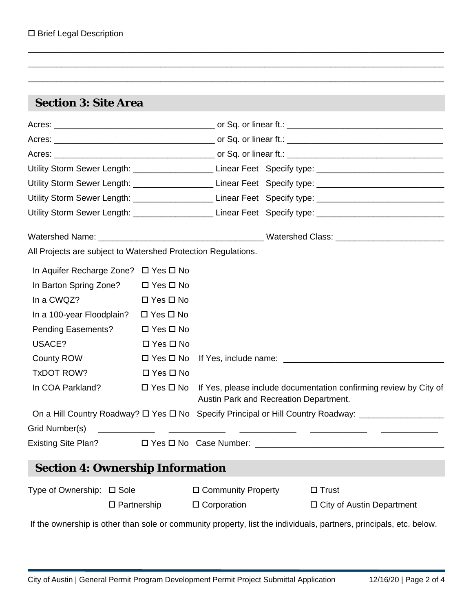| <b>Section 3: Site Area</b>                                   |                       |                                        |                                                                                                                |
|---------------------------------------------------------------|-----------------------|----------------------------------------|----------------------------------------------------------------------------------------------------------------|
|                                                               |                       |                                        |                                                                                                                |
|                                                               |                       |                                        |                                                                                                                |
|                                                               |                       |                                        |                                                                                                                |
|                                                               |                       |                                        | Utility Storm Sewer Length: ______________________________Linear Feet Specify type: __________________________ |
|                                                               |                       |                                        | Utility Storm Sewer Length: ______________________________Linear Feet Specify type: __________________________ |
|                                                               |                       |                                        | Utility Storm Sewer Length: ______________________________Linear Feet Specify type: __________________________ |
|                                                               |                       |                                        | Utility Storm Sewer Length: ____________________________Linear Feet Specify type: ____________________________ |
|                                                               |                       |                                        |                                                                                                                |
| All Projects are subject to Watershed Protection Regulations. |                       |                                        |                                                                                                                |
| In Aquifer Recharge Zone? □ Yes □ No                          |                       |                                        |                                                                                                                |
| In Barton Spring Zone? □ Yes □ No                             |                       |                                        |                                                                                                                |
| In a CWQZ?                                                    | $\Box$ Yes $\Box$ No  |                                        |                                                                                                                |
| In a 100-year Floodplain?                                     | $\Box$ Yes $\Box$ No  |                                        |                                                                                                                |
| <b>Pending Easements?</b>                                     | $\Box$ Yes $\Box$ No  |                                        |                                                                                                                |
| USACE?                                                        | $\Box$ Yes $\Box$ No  |                                        |                                                                                                                |
| County ROW                                                    | $\Box$ Yes $\Box$ No  |                                        |                                                                                                                |
| TxDOT ROW?                                                    | $\Box$ Yes $\Box$ No  |                                        |                                                                                                                |
| In COA Parkland?                                              | $\Box$ Yes $\Box$ No  | Austin Park and Recreation Department. | If Yes, please include documentation confirming review by City of                                              |
|                                                               |                       |                                        | On a Hill Country Roadway? $\Box$ Yes $\Box$ No Specify Principal or Hill Country Roadway: ___________________ |
| Grid Number(s)                                                |                       |                                        |                                                                                                                |
|                                                               |                       |                                        |                                                                                                                |
| <b>Section 4: Ownership Information</b>                       |                       |                                        |                                                                                                                |
| Type of Ownership: □ Sole                                     |                       | □ Community Property                   | $\Box$ Trust                                                                                                   |
|                                                               | $\square$ Partnership | $\Box$ Corporation                     | $\Box$ City of Austin Department                                                                               |

\_\_\_\_\_\_\_\_\_\_\_\_\_\_\_\_\_\_\_\_\_\_\_\_\_\_\_\_\_\_\_\_\_\_\_\_\_\_\_\_\_\_\_\_\_\_\_\_\_\_\_\_\_\_\_\_\_\_\_\_\_\_\_\_\_\_\_\_\_\_\_\_\_\_\_\_\_\_\_\_\_\_\_\_\_\_\_\_

If the ownership is other than sole or community property, list the individuals, partners, principals, etc. below.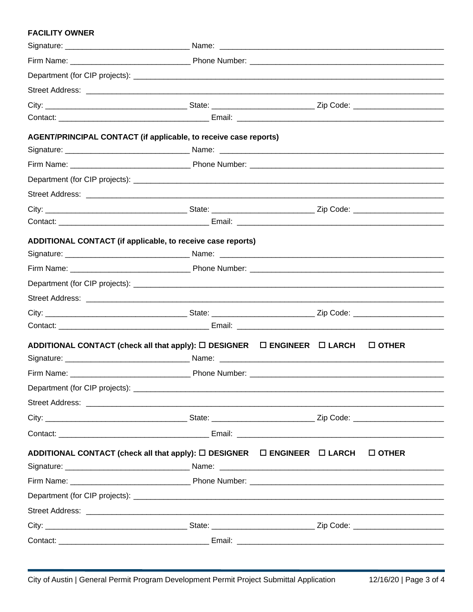#### **FACILITY OWNER**

| AGENT/PRINCIPAL CONTACT (if applicable, to receive case reports)                        |              |  |
|-----------------------------------------------------------------------------------------|--------------|--|
|                                                                                         |              |  |
|                                                                                         |              |  |
|                                                                                         |              |  |
|                                                                                         |              |  |
|                                                                                         |              |  |
|                                                                                         |              |  |
| ADDITIONAL CONTACT (if applicable, to receive case reports)                             |              |  |
|                                                                                         |              |  |
|                                                                                         |              |  |
|                                                                                         |              |  |
|                                                                                         |              |  |
|                                                                                         |              |  |
|                                                                                         |              |  |
| ADDITIONAL CONTACT (check all that apply): $\Box$ DESIGNER $\Box$ ENGINEER $\Box$ LARCH | $\Box$ OTHER |  |
|                                                                                         |              |  |
|                                                                                         |              |  |
| Department (for CIP projects): ________                                                 |              |  |
|                                                                                         |              |  |
|                                                                                         |              |  |
|                                                                                         |              |  |
|                                                                                         |              |  |
| ADDITIONAL CONTACT (check all that apply): $\Box$ DESIGNER $\Box$ ENGINEER $\Box$ LARCH | $\Box$ OTHER |  |
|                                                                                         |              |  |
|                                                                                         |              |  |
|                                                                                         |              |  |
|                                                                                         |              |  |
|                                                                                         |              |  |
|                                                                                         |              |  |